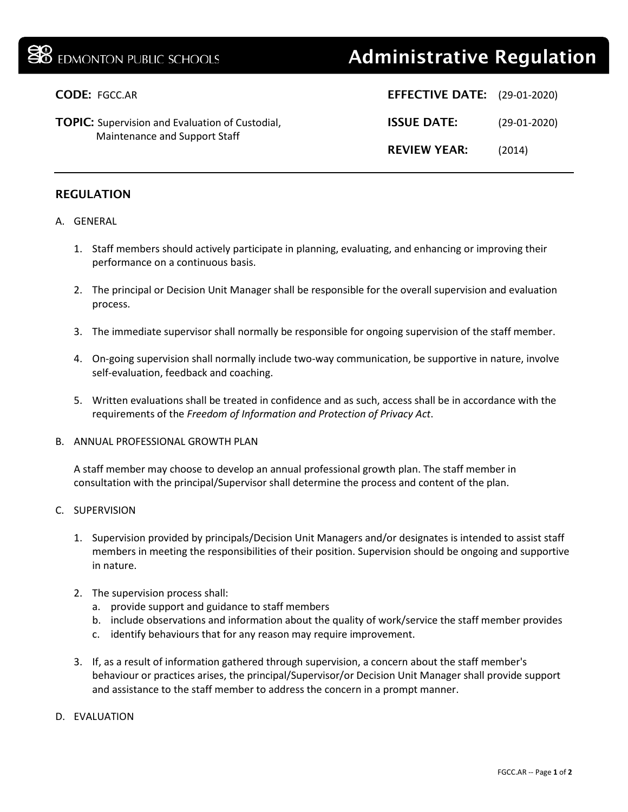## **B** EDMONTON PUBLIC SCHOOLS **Administrative Regulation**

| <b>CODE: FGCC.AR</b>                                                                    | <b>EFFECTIVE DATE:</b> (29-01-2020) |                |
|-----------------------------------------------------------------------------------------|-------------------------------------|----------------|
| <b>TOPIC:</b> Supervision and Evaluation of Custodial,<br>Maintenance and Support Staff | <b>ISSUE DATE:</b>                  | $(29-01-2020)$ |
|                                                                                         | <b>REVIEW YEAR:</b>                 | (2014)         |

## REGULATION

## A. GENERAL

- 1. Staff members should actively participate in planning, evaluating, and enhancing or improving their performance on a continuous basis.
- 2. The principal or Decision Unit Manager shall be responsible for the overall supervision and evaluation process.
- 3. The immediate supervisor shall normally be responsible for ongoing supervision of the staff member.
- 4. On-going supervision shall normally include two-way communication, be supportive in nature, involve self-evaluation, feedback and coaching.
- 5. Written evaluations shall be treated in confidence and as such, access shall be in accordance with the requirements of the *Freedom of Information and Protection of Privacy Act*.
- B. ANNUAL PROFESSIONAL GROWTH PLAN

A staff member may choose to develop an annual professional growth plan. The staff member in consultation with the principal/Supervisor shall determine the process and content of the plan.

- C. SUPERVISION
	- 1. Supervision provided by principals/Decision Unit Managers and/or designates is intended to assist staff members in meeting the responsibilities of their position. Supervision should be ongoing and supportive in nature.
	- 2. The supervision process shall:
		- a. provide support and guidance to staff members
		- b. include observations and information about the quality of work/service the staff member provides
		- c. identify behaviours that for any reason may require improvement.
	- 3. If, as a result of information gathered through supervision, a concern about the staff member's behaviour or practices arises, the principal/Supervisor/or Decision Unit Manager shall provide support and assistance to the staff member to address the concern in a prompt manner.
- D. EVALUATION